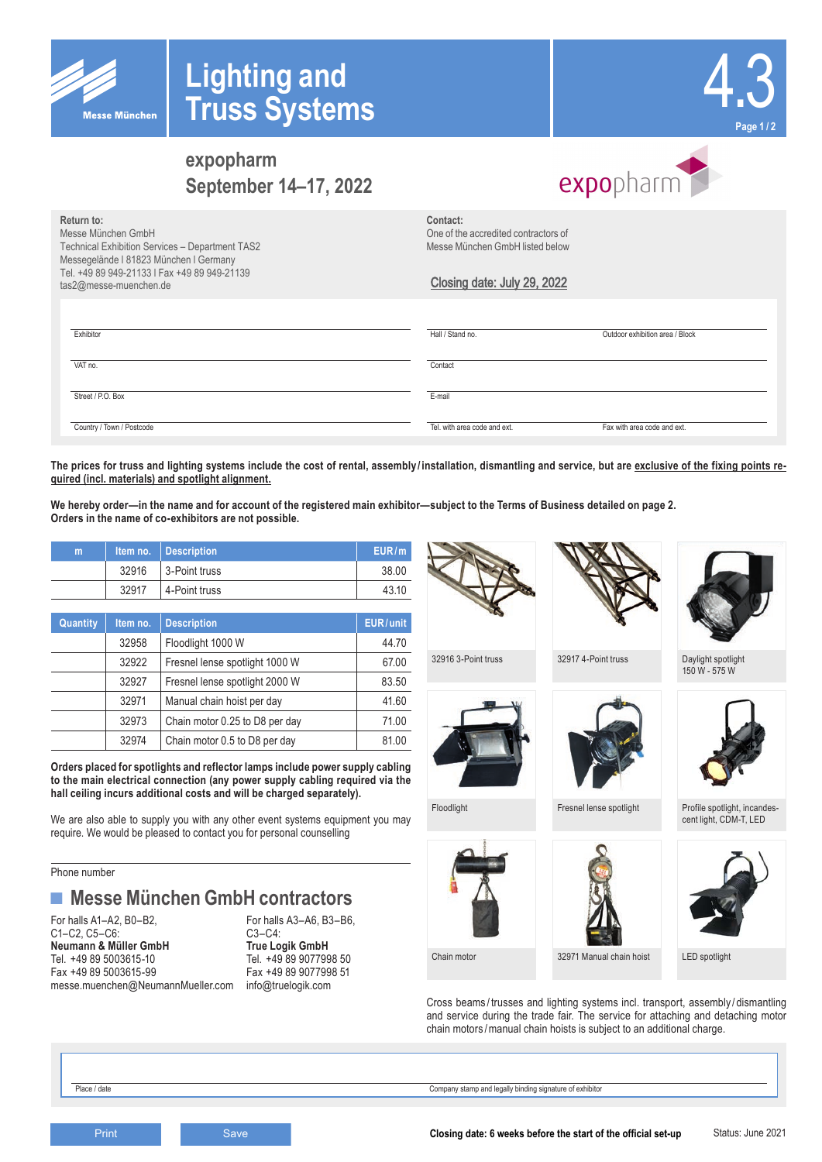

# 4.3 **Page 1 / 2**

# **Return to: expopharm September 14–17, 2022**

**Lighting and** 

**Truss Systems**

# expopharm

| Return to:                                      | Contact:                             |                                 |
|-------------------------------------------------|--------------------------------------|---------------------------------|
| Messe München GmbH                              | One of the accredited contractors of |                                 |
| Technical Exhibition Services - Department TAS2 | Messe München GmbH listed below      |                                 |
| Messegelände I 81823 München I Germany          |                                      |                                 |
| Tel. +49 89 949-21133   Fax +49 89 949-21139    |                                      |                                 |
| tas2@messe-muenchen.de                          | Closing date: July 29, 2022          |                                 |
|                                                 |                                      |                                 |
|                                                 |                                      |                                 |
|                                                 |                                      |                                 |
| Exhibitor                                       | Hall / Stand no.                     | Outdoor exhibition area / Block |
|                                                 |                                      |                                 |
| VAT no.                                         | Contact                              |                                 |
|                                                 |                                      |                                 |
|                                                 |                                      |                                 |
| Street / P.O. Box                               | E-mail                               |                                 |
|                                                 |                                      |                                 |
| Country / Town / Postcode                       | Tel, with area code and ext.         | Fax with area code and ext.     |
|                                                 |                                      |                                 |

**The prices for truss and lighting systems include the cost of rental, assembly / installation, dismantling and service, but are exclusive of the fixing points required (incl. materials) and spotlight alignment.**

**We hereby order—in the name and for account of the registered main exhibitor—subject to the Terms of Business detailed on page 2. Orders in the name of co-exhibitors are not possible.**

| m |       | Item no.   Description | EUR/m |
|---|-------|------------------------|-------|
|   | 32916 | 3-Point truss          | 38.00 |
|   | 32917 | 4-Point truss          | 43.10 |
|   |       |                        |       |

| Quantity | Item no. | <b>Description</b>             | EUR/unit |
|----------|----------|--------------------------------|----------|
|          | 32958    | Floodlight 1000 W              | 44.70    |
|          | 32922    | Fresnel lense spotlight 1000 W | 67.00    |
|          | 32927    | Fresnel lense spotlight 2000 W | 83.50    |
|          | 32971    | Manual chain hoist per day     | 41.60    |
|          | 32973    | Chain motor 0.25 to D8 per day | 71.00    |
|          | 32974    | Chain motor 0.5 to D8 per day  | 81.00    |

**Orders placed for spotlights and reflector lamps include power supply cabling to the main electrical connection (any power supply cabling required via the hall ceiling incurs additional costs and will be charged separately).**

We are also able to supply you with any other event systems equipment you may require. We would be pleased to contact you for personal counselling

Phone number

## **■ Messe München GmbH contractors**

For halls A1–A2, B0–B2,<br>C1–C2, C5–C6: C5–C6: C3–C4: C1–C2, C5–C6: C1–C2, C5–C6: C3–C4: C3–C4: C3–C4: C3–C4: C3–C4: C3–C4: C3–C4: C3–C4: C3–C4: C3–C4: C3–C4: C3–C **Neumann & Müller GmbH**<br>Tel. +49 89 5003615-10 Fax +49 89 5003615-99 Fax +49 89 907799<br>messe.muenchen@NeumannMueller.com info@truelogik.com messe.muenchen@NeumannMueller.com

Tel. +49 89 9077998 50<br>Fax +49 89 9077998 51







32916 3-Point truss 32917 4-Point truss Daylight spotlight







Cross beams / trusses and lighting systems incl. transport, assembly / dismantling and service during the trade fair. The service for attaching and detaching motor chain motors /manual chain hoists is subject to an additional charge.

Place / date Company stamp and legally binding signature of exhibitor



150 W - 575 W



Floodlight Fresnel lense spotlight Profile spotlight, incandescent light, CDM-T, LED